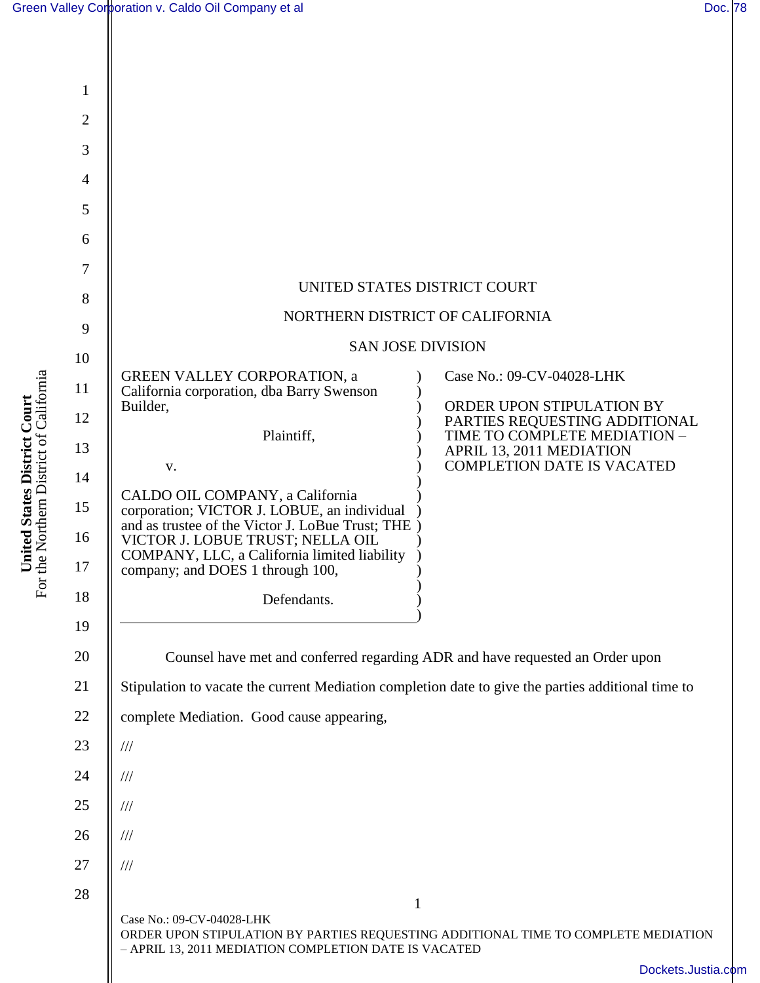| Green Valley Corporation v. Caldo Oil Company et al | Doc. 78 |  |
|-----------------------------------------------------|---------|--|
|-----------------------------------------------------|---------|--|

**United States District Court** For the Northern District of California

**United States District Court**<br>For the Northern District of California

| 1              |                                                                                                                                 |                                                                                               |
|----------------|---------------------------------------------------------------------------------------------------------------------------------|-----------------------------------------------------------------------------------------------|
| $\overline{2}$ |                                                                                                                                 |                                                                                               |
| 3              |                                                                                                                                 |                                                                                               |
| 4              |                                                                                                                                 |                                                                                               |
| 5              |                                                                                                                                 |                                                                                               |
| 6              |                                                                                                                                 |                                                                                               |
| 7              |                                                                                                                                 |                                                                                               |
| 8              | UNITED STATES DISTRICT COURT                                                                                                    |                                                                                               |
| 9              | NORTHERN DISTRICT OF CALIFORNIA                                                                                                 |                                                                                               |
| 10             | <b>SAN JOSE DIVISION</b>                                                                                                        |                                                                                               |
| 11             | <b>GREEN VALLEY CORPORATION, a</b><br>California corporation, dba Barry Swenson                                                 | Case No.: 09-CV-04028-LHK                                                                     |
| 12             | Builder,                                                                                                                        | ORDER UPON STIPULATION BY<br>PARTIES REQUESTING ADDITIONAL                                    |
| 13             | Plaintiff,<br>V.                                                                                                                | TIME TO COMPLETE MEDIATION -<br>APRIL 13, 2011 MEDIATION<br><b>COMPLETION DATE IS VACATED</b> |
| 14             | CALDO OIL COMPANY, a California                                                                                                 |                                                                                               |
| 15             | corporation; VICTOR J. LOBUE, an individual<br>and as trustee of the Victor J. LoBue Trust; THE                                 |                                                                                               |
| 16<br>17       | VICTOR J. LOBUE TRUST; NELLA OIL<br>COMPANY, LLC, a California limited liability<br>company; and DOES 1 through 100,            |                                                                                               |
| 18             | Defendants.                                                                                                                     |                                                                                               |
| 19             |                                                                                                                                 |                                                                                               |
| 20             |                                                                                                                                 |                                                                                               |
| 21             | Counsel have met and conferred regarding ADR and have requested an Order upon                                                   |                                                                                               |
| 22             | Stipulation to vacate the current Mediation completion date to give the parties additional time to                              |                                                                                               |
| 23             | complete Mediation. Good cause appearing,<br>$/\!/ \!/$                                                                         |                                                                                               |
| 24             |                                                                                                                                 |                                                                                               |
| 25             | $\frac{1}{1}$                                                                                                                   |                                                                                               |
|                | $\frac{1}{1}$                                                                                                                   |                                                                                               |
| 26             | $\frac{1}{1}$                                                                                                                   |                                                                                               |
| 27             | $/ \! / \! /$                                                                                                                   |                                                                                               |
| 28             | $\mathbf{1}$<br>Case No.: 09-CV-04028-LHK<br>ORDER UPON STIPULATION BY PARTIES REQUESTING ADDITIONAL TIME TO COMPLETE MEDIATION |                                                                                               |
|                | - APRIL 13, 2011 MEDIATION COMPLETION DATE IS VACATED                                                                           |                                                                                               |
|                |                                                                                                                                 | Dockets.Justia.com                                                                            |